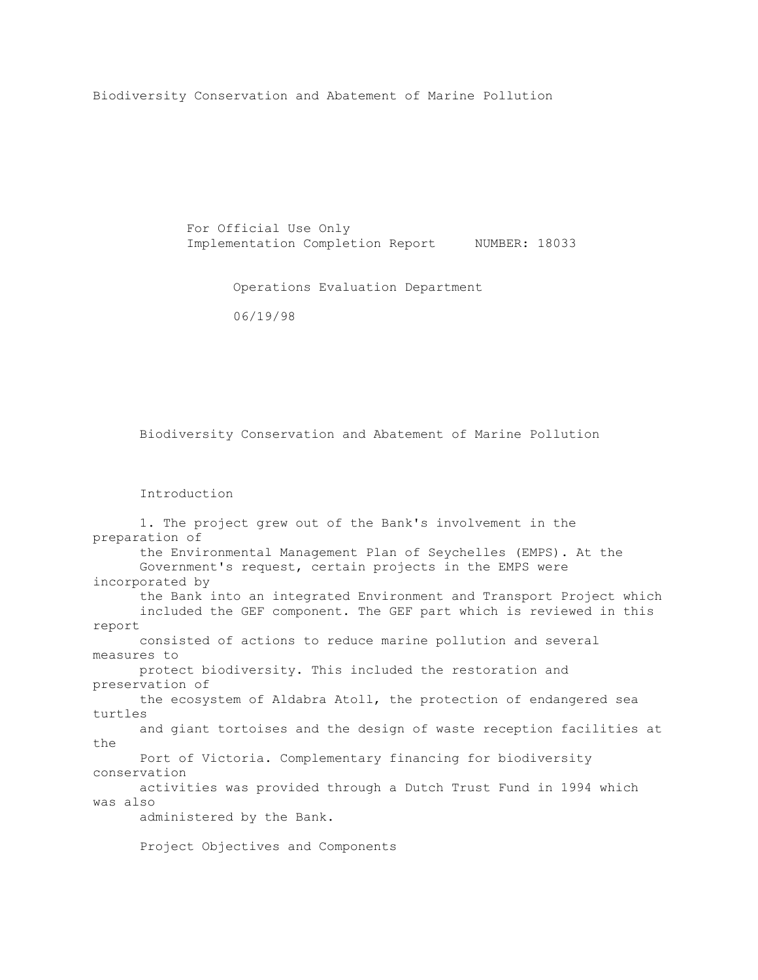Biodiversity Conservation and Abatement of Marine Pollution

 For Official Use Only Implementation Completion Report NUMBER: 18033

Operations Evaluation Department

06/19/98

Biodiversity Conservation and Abatement of Marine Pollution

## Introduction

| 1. The project grew out of the Bank's involvement in the            |
|---------------------------------------------------------------------|
| preparation of                                                      |
| the Environmental Management Plan of Seychelles (EMPS). At the      |
| Government's request, certain projects in the EMPS were             |
| incorporated by                                                     |
| the Bank into an integrated Environment and Transport Project which |
| included the GEF component. The GEF part which is reviewed in this  |
| report                                                              |
| consisted of actions to reduce marine pollution and several         |
| measures to                                                         |
| protect biodiversity. This included the restoration and             |
| preservation of                                                     |
| the ecosystem of Aldabra Atoll, the protection of endangered sea    |
| turtles                                                             |
| and giant tortoises and the design of waste reception facilities at |
| the                                                                 |
| Port of Victoria. Complementary financing for biodiversity          |
| conservation                                                        |
| activities was provided through a Dutch Trust Fund in 1994 which    |
| was also                                                            |
| administered by the Bank.                                           |
| Project Objectives and Components                                   |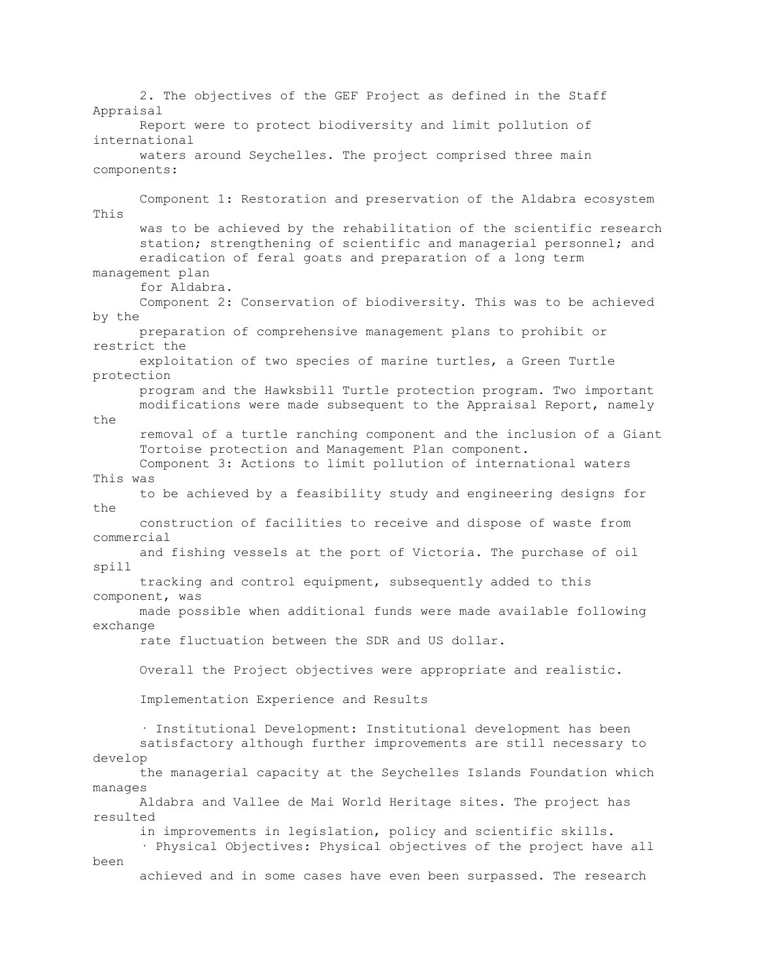2. The objectives of the GEF Project as defined in the Staff Appraisal Report were to protect biodiversity and limit pollution of international waters around Seychelles. The project comprised three main components: Component 1: Restoration and preservation of the Aldabra ecosystem This was to be achieved by the rehabilitation of the scientific research station; strengthening of scientific and managerial personnel; and eradication of feral goats and preparation of a long term management plan for Aldabra. Component 2: Conservation of biodiversity. This was to be achieved by the preparation of comprehensive management plans to prohibit or restrict the exploitation of two species of marine turtles, a Green Turtle protection program and the Hawksbill Turtle protection program. Two important modifications were made subsequent to the Appraisal Report, namely the removal of a turtle ranching component and the inclusion of a Giant Tortoise protection and Management Plan component. Component 3: Actions to limit pollution of international waters This was to be achieved by a feasibility study and engineering designs for the construction of facilities to receive and dispose of waste from commercial and fishing vessels at the port of Victoria. The purchase of oil spill tracking and control equipment, subsequently added to this component, was made possible when additional funds were made available following exchange rate fluctuation between the SDR and US dollar. Overall the Project objectives were appropriate and realistic. Implementation Experience and Results · Institutional Development: Institutional development has been satisfactory although further improvements are still necessary to develop the managerial capacity at the Seychelles Islands Foundation which manages Aldabra and Vallee de Mai World Heritage sites. The project has resulted in improvements in legislation, policy and scientific skills. · Physical Objectives: Physical objectives of the project have all been achieved and in some cases have even been surpassed. The research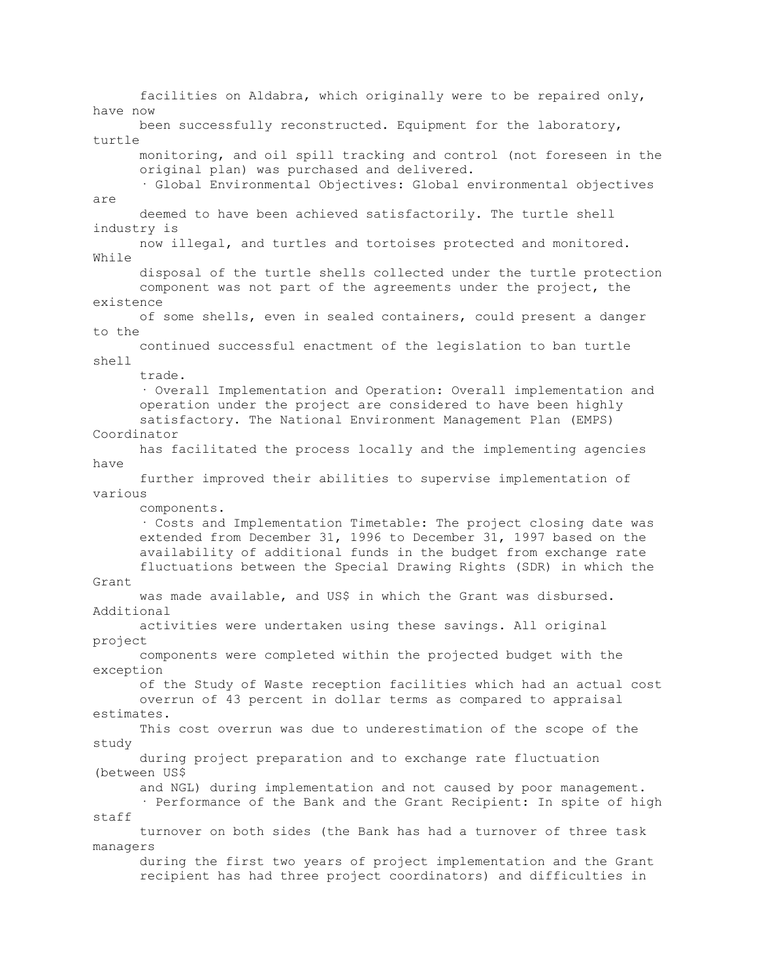facilities on Aldabra, which originally were to be repaired only, have now been successfully reconstructed. Equipment for the laboratory, turtle monitoring, and oil spill tracking and control (not foreseen in the original plan) was purchased and delivered. · Global Environmental Objectives: Global environmental objectives are deemed to have been achieved satisfactorily. The turtle shell industry is now illegal, and turtles and tortoises protected and monitored. While disposal of the turtle shells collected under the turtle protection component was not part of the agreements under the project, the existence of some shells, even in sealed containers, could present a danger to the continued successful enactment of the legislation to ban turtle shell trade. · Overall Implementation and Operation: Overall implementation and operation under the project are considered to have been highly satisfactory. The National Environment Management Plan (EMPS) Coordinator has facilitated the process locally and the implementing agencies have further improved their abilities to supervise implementation of various components. · Costs and Implementation Timetable: The project closing date was extended from December 31, 1996 to December 31, 1997 based on the availability of additional funds in the budget from exchange rate fluctuations between the Special Drawing Rights (SDR) in which the Grant was made available, and US\$ in which the Grant was disbursed. Additional activities were undertaken using these savings. All original project components were completed within the projected budget with the exception of the Study of Waste reception facilities which had an actual cost overrun of 43 percent in dollar terms as compared to appraisal estimates. This cost overrun was due to underestimation of the scope of the study during project preparation and to exchange rate fluctuation (between US\$ and NGL) during implementation and not caused by poor management. · Performance of the Bank and the Grant Recipient: In spite of high staff turnover on both sides (the Bank has had a turnover of three task managers during the first two years of project implementation and the Grant recipient has had three project coordinators) and difficulties in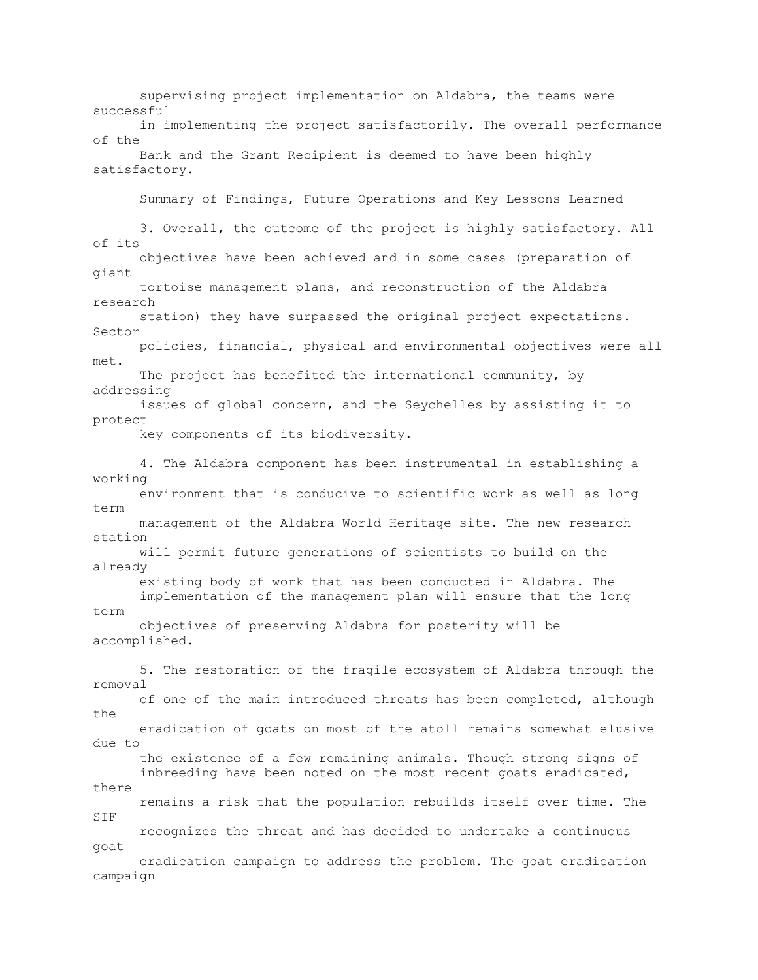supervising project implementation on Aldabra, the teams were successful in implementing the project satisfactorily. The overall performance of the Bank and the Grant Recipient is deemed to have been highly satisfactory. Summary of Findings, Future Operations and Key Lessons Learned 3. Overall, the outcome of the project is highly satisfactory. All of its objectives have been achieved and in some cases (preparation of giant tortoise management plans, and reconstruction of the Aldabra research station) they have surpassed the original project expectations. Sector policies, financial, physical and environmental objectives were all met. The project has benefited the international community, by addressing issues of global concern, and the Seychelles by assisting it to protect key components of its biodiversity. 4. The Aldabra component has been instrumental in establishing a working environment that is conducive to scientific work as well as long term management of the Aldabra World Heritage site. The new research station will permit future generations of scientists to build on the already existing body of work that has been conducted in Aldabra. The implementation of the management plan will ensure that the long term objectives of preserving Aldabra for posterity will be accomplished. 5. The restoration of the fragile ecosystem of Aldabra through the removal of one of the main introduced threats has been completed, although the eradication of goats on most of the atoll remains somewhat elusive due to the existence of a few remaining animals. Though strong signs of inbreeding have been noted on the most recent goats eradicated, there remains a risk that the population rebuilds itself over time. The SIF recognizes the threat and has decided to undertake a continuous goat eradication campaign to address the problem. The goat eradication campaign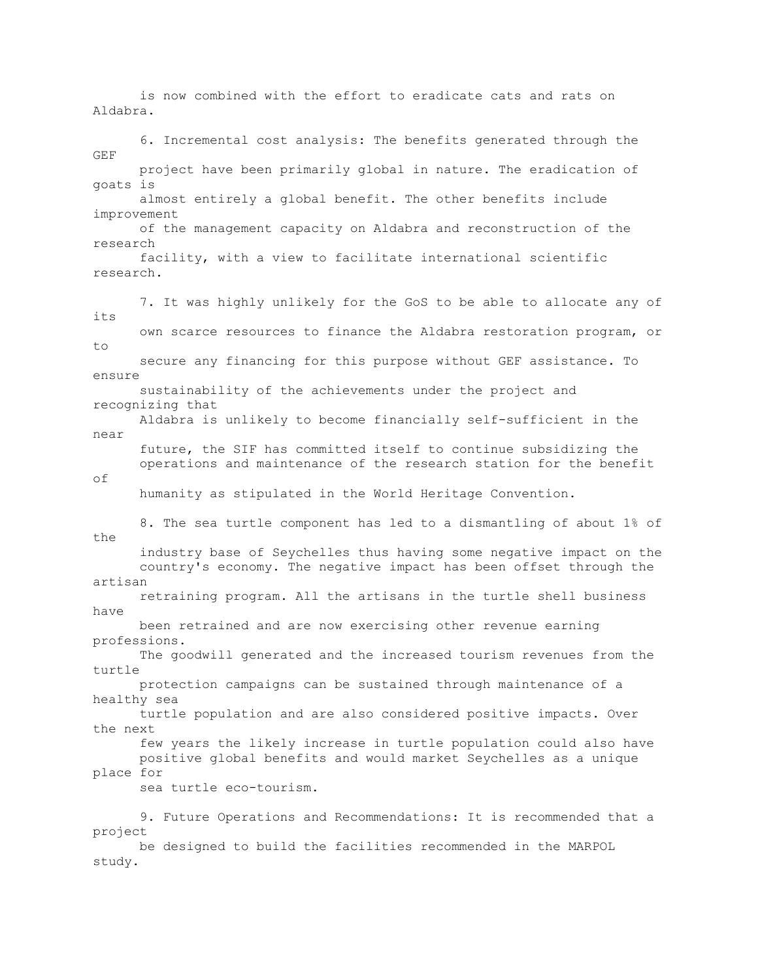is now combined with the effort to eradicate cats and rats on Aldabra. 6. Incremental cost analysis: The benefits generated through the GEF project have been primarily global in nature. The eradication of goats is almost entirely a global benefit. The other benefits include improvement of the management capacity on Aldabra and reconstruction of the research facility, with a view to facilitate international scientific research. 7. It was highly unlikely for the GoS to be able to allocate any of its own scarce resources to finance the Aldabra restoration program, or to secure any financing for this purpose without GEF assistance. To ensure sustainability of the achievements under the project and recognizing that Aldabra is unlikely to become financially self-sufficient in the near future, the SIF has committed itself to continue subsidizing the operations and maintenance of the research station for the benefit of humanity as stipulated in the World Heritage Convention. 8. The sea turtle component has led to a dismantling of about 1% of the industry base of Seychelles thus having some negative impact on the country's economy. The negative impact has been offset through the artisan retraining program. All the artisans in the turtle shell business have been retrained and are now exercising other revenue earning professions. The goodwill generated and the increased tourism revenues from the turtle protection campaigns can be sustained through maintenance of a healthy sea turtle population and are also considered positive impacts. Over the next few years the likely increase in turtle population could also have positive global benefits and would market Seychelles as a unique place for sea turtle eco-tourism. 9. Future Operations and Recommendations: It is recommended that a project be designed to build the facilities recommended in the MARPOL study.